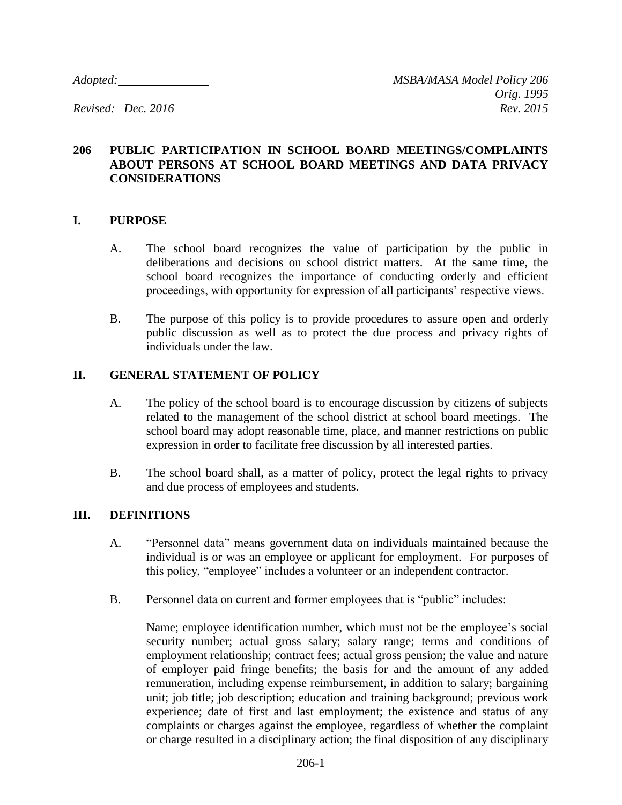# **206 PUBLIC PARTICIPATION IN SCHOOL BOARD MEETINGS/COMPLAINTS ABOUT PERSONS AT SCHOOL BOARD MEETINGS AND DATA PRIVACY CONSIDERATIONS**

#### **I. PURPOSE**

- A. The school board recognizes the value of participation by the public in deliberations and decisions on school district matters. At the same time, the school board recognizes the importance of conducting orderly and efficient proceedings, with opportunity for expression of all participants' respective views.
- B. The purpose of this policy is to provide procedures to assure open and orderly public discussion as well as to protect the due process and privacy rights of individuals under the law.

#### **II. GENERAL STATEMENT OF POLICY**

- A. The policy of the school board is to encourage discussion by citizens of subjects related to the management of the school district at school board meetings. The school board may adopt reasonable time, place, and manner restrictions on public expression in order to facilitate free discussion by all interested parties.
- B. The school board shall, as a matter of policy, protect the legal rights to privacy and due process of employees and students.

#### **III. DEFINITIONS**

- A. "Personnel data" means government data on individuals maintained because the individual is or was an employee or applicant for employment. For purposes of this policy, "employee" includes a volunteer or an independent contractor.
- B. Personnel data on current and former employees that is "public" includes:

Name; employee identification number, which must not be the employee's social security number; actual gross salary; salary range; terms and conditions of employment relationship; contract fees; actual gross pension; the value and nature of employer paid fringe benefits; the basis for and the amount of any added remuneration, including expense reimbursement, in addition to salary; bargaining unit; job title; job description; education and training background; previous work experience; date of first and last employment; the existence and status of any complaints or charges against the employee, regardless of whether the complaint or charge resulted in a disciplinary action; the final disposition of any disciplinary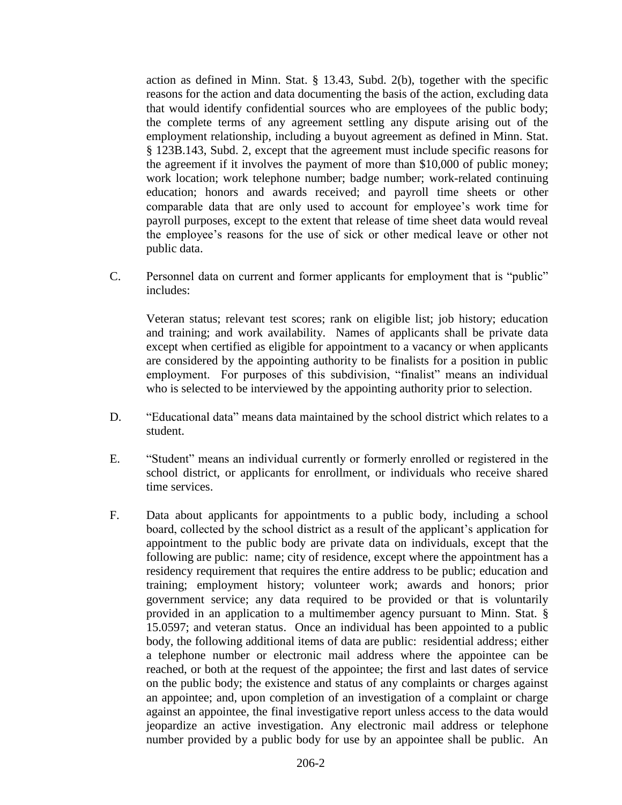action as defined in Minn. Stat. § 13.43, Subd. 2(b), together with the specific reasons for the action and data documenting the basis of the action, excluding data that would identify confidential sources who are employees of the public body; the complete terms of any agreement settling any dispute arising out of the employment relationship, including a buyout agreement as defined in Minn. Stat. § 123B.143, Subd. 2, except that the agreement must include specific reasons for the agreement if it involves the payment of more than \$10,000 of public money; work location; work telephone number; badge number; work-related continuing education; honors and awards received; and payroll time sheets or other comparable data that are only used to account for employee's work time for payroll purposes, except to the extent that release of time sheet data would reveal the employee's reasons for the use of sick or other medical leave or other not public data.

C. Personnel data on current and former applicants for employment that is "public" includes:

Veteran status; relevant test scores; rank on eligible list; job history; education and training; and work availability. Names of applicants shall be private data except when certified as eligible for appointment to a vacancy or when applicants are considered by the appointing authority to be finalists for a position in public employment. For purposes of this subdivision, "finalist" means an individual who is selected to be interviewed by the appointing authority prior to selection.

- D. "Educational data" means data maintained by the school district which relates to a student.
- E. "Student" means an individual currently or formerly enrolled or registered in the school district, or applicants for enrollment, or individuals who receive shared time services.
- F. Data about applicants for appointments to a public body, including a school board, collected by the school district as a result of the applicant's application for appointment to the public body are private data on individuals, except that the following are public: name; city of residence, except where the appointment has a residency requirement that requires the entire address to be public; education and training; employment history; volunteer work; awards and honors; prior government service; any data required to be provided or that is voluntarily provided in an application to a multimember agency pursuant to Minn. Stat. § 15.0597; and veteran status. Once an individual has been appointed to a public body, the following additional items of data are public: residential address; either a telephone number or electronic mail address where the appointee can be reached, or both at the request of the appointee; the first and last dates of service on the public body; the existence and status of any complaints or charges against an appointee; and, upon completion of an investigation of a complaint or charge against an appointee, the final investigative report unless access to the data would jeopardize an active investigation. Any electronic mail address or telephone number provided by a public body for use by an appointee shall be public. An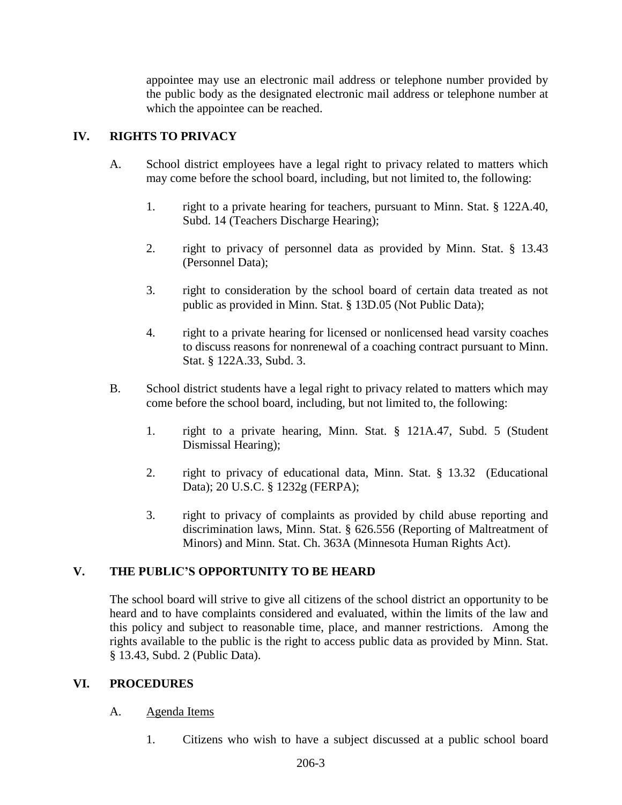appointee may use an electronic mail address or telephone number provided by the public body as the designated electronic mail address or telephone number at which the appointee can be reached.

# **IV. RIGHTS TO PRIVACY**

- A. School district employees have a legal right to privacy related to matters which may come before the school board, including, but not limited to, the following:
	- 1. right to a private hearing for teachers, pursuant to Minn. Stat. § 122A.40, Subd. 14 (Teachers Discharge Hearing);
	- 2. right to privacy of personnel data as provided by Minn. Stat. § 13.43 (Personnel Data);
	- 3. right to consideration by the school board of certain data treated as not public as provided in Minn. Stat. § 13D.05 (Not Public Data);
	- 4. right to a private hearing for licensed or nonlicensed head varsity coaches to discuss reasons for nonrenewal of a coaching contract pursuant to Minn. Stat. § 122A.33, Subd. 3.
- B. School district students have a legal right to privacy related to matters which may come before the school board, including, but not limited to, the following:
	- 1. right to a private hearing, Minn. Stat. § 121A.47, Subd. 5 (Student Dismissal Hearing);
	- 2. right to privacy of educational data, Minn. Stat. § 13.32 (Educational Data); 20 U.S.C. § 1232g (FERPA);
	- 3. right to privacy of complaints as provided by child abuse reporting and discrimination laws, Minn. Stat. § 626.556 (Reporting of Maltreatment of Minors) and Minn. Stat. Ch. 363A (Minnesota Human Rights Act).

## **V. THE PUBLIC'S OPPORTUNITY TO BE HEARD**

The school board will strive to give all citizens of the school district an opportunity to be heard and to have complaints considered and evaluated, within the limits of the law and this policy and subject to reasonable time, place, and manner restrictions. Among the rights available to the public is the right to access public data as provided by Minn. Stat. § 13.43, Subd. 2 (Public Data).

## **VI. PROCEDURES**

#### A. Agenda Items

1. Citizens who wish to have a subject discussed at a public school board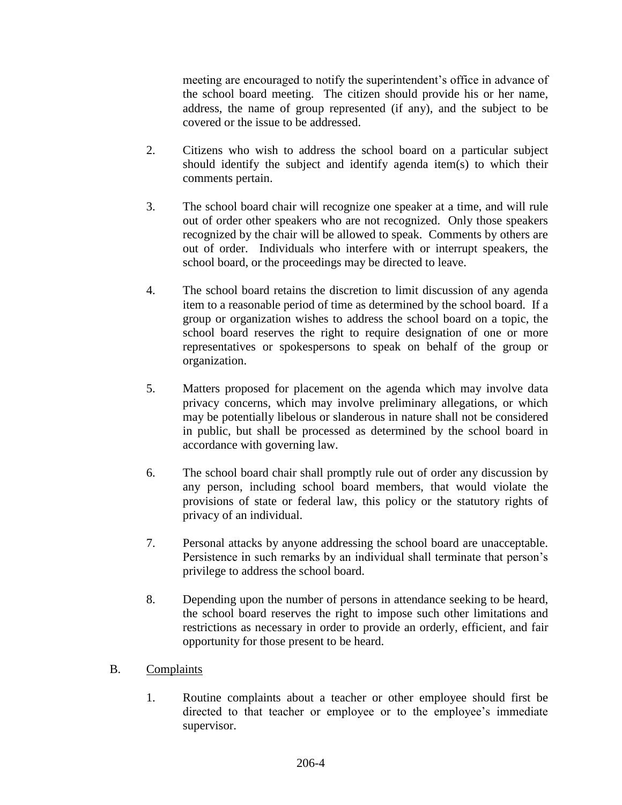meeting are encouraged to notify the superintendent's office in advance of the school board meeting. The citizen should provide his or her name, address, the name of group represented (if any), and the subject to be covered or the issue to be addressed.

- 2. Citizens who wish to address the school board on a particular subject should identify the subject and identify agenda item(s) to which their comments pertain.
- 3. The school board chair will recognize one speaker at a time, and will rule out of order other speakers who are not recognized. Only those speakers recognized by the chair will be allowed to speak. Comments by others are out of order. Individuals who interfere with or interrupt speakers, the school board, or the proceedings may be directed to leave.
- 4. The school board retains the discretion to limit discussion of any agenda item to a reasonable period of time as determined by the school board. If a group or organization wishes to address the school board on a topic, the school board reserves the right to require designation of one or more representatives or spokespersons to speak on behalf of the group or organization.
- 5. Matters proposed for placement on the agenda which may involve data privacy concerns, which may involve preliminary allegations, or which may be potentially libelous or slanderous in nature shall not be considered in public, but shall be processed as determined by the school board in accordance with governing law.
- 6. The school board chair shall promptly rule out of order any discussion by any person, including school board members, that would violate the provisions of state or federal law, this policy or the statutory rights of privacy of an individual.
- 7. Personal attacks by anyone addressing the school board are unacceptable. Persistence in such remarks by an individual shall terminate that person's privilege to address the school board.
- 8. Depending upon the number of persons in attendance seeking to be heard, the school board reserves the right to impose such other limitations and restrictions as necessary in order to provide an orderly, efficient, and fair opportunity for those present to be heard.

## B. Complaints

1. Routine complaints about a teacher or other employee should first be directed to that teacher or employee or to the employee's immediate supervisor.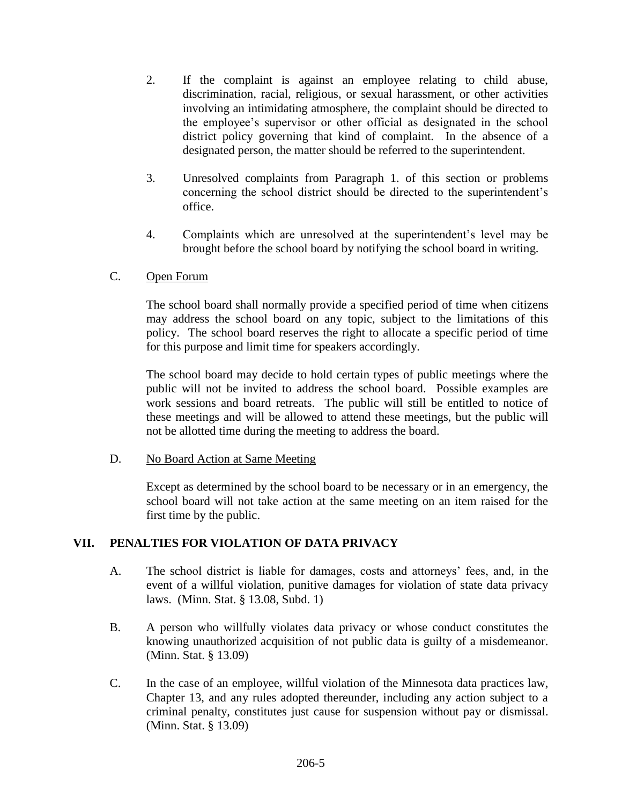- 2. If the complaint is against an employee relating to child abuse, discrimination, racial, religious, or sexual harassment, or other activities involving an intimidating atmosphere, the complaint should be directed to the employee's supervisor or other official as designated in the school district policy governing that kind of complaint. In the absence of a designated person, the matter should be referred to the superintendent.
- 3. Unresolved complaints from Paragraph 1. of this section or problems concerning the school district should be directed to the superintendent's office.
- 4. Complaints which are unresolved at the superintendent's level may be brought before the school board by notifying the school board in writing.

## C. Open Forum

The school board shall normally provide a specified period of time when citizens may address the school board on any topic, subject to the limitations of this policy. The school board reserves the right to allocate a specific period of time for this purpose and limit time for speakers accordingly.

The school board may decide to hold certain types of public meetings where the public will not be invited to address the school board. Possible examples are work sessions and board retreats. The public will still be entitled to notice of these meetings and will be allowed to attend these meetings, but the public will not be allotted time during the meeting to address the board.

## D. No Board Action at Same Meeting

Except as determined by the school board to be necessary or in an emergency, the school board will not take action at the same meeting on an item raised for the first time by the public.

## **VII. PENALTIES FOR VIOLATION OF DATA PRIVACY**

- A. The school district is liable for damages, costs and attorneys' fees, and, in the event of a willful violation, punitive damages for violation of state data privacy laws. (Minn. Stat. § 13.08, Subd. 1)
- B. A person who willfully violates data privacy or whose conduct constitutes the knowing unauthorized acquisition of not public data is guilty of a misdemeanor. (Minn. Stat. § 13.09)
- C. In the case of an employee, willful violation of the Minnesota data practices law, Chapter 13, and any rules adopted thereunder, including any action subject to a criminal penalty, constitutes just cause for suspension without pay or dismissal. (Minn. Stat. § 13.09)